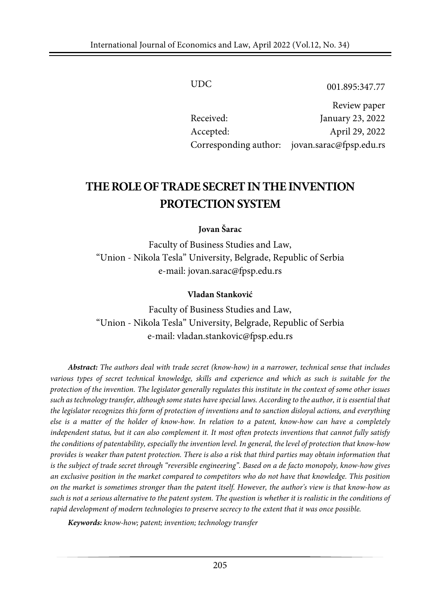UDC 001.895:347.77

Review paper Received: January 23, 2022 Accepted: April 29, 2022 Corresponding author: jovan.sarac@fpsp.edu.rs

# **THEROLEOFTRADE SECRETIN THEINVENTION PROTECTION SYSTEM**

#### **Jovan Šarac**

Faculty of Business Studies and Law, "Union - Nikola Tesla" University, Belgrade, Republic of Serbia e-mail: jovan.sarac@fpsp.edu.rs

#### **Vladan Stanković**

Faculty of Business Studies and Law, "Union - Nikola Tesla" University, Belgrade, Republic of Serbia e-mail: vladan.stankovic@fpsp.edu.rs

*Abstract: The authors deal with trade secret (know-how) in a narrower, technical sense that includes various types of secret technical knowledge, skills and experience and which as such is suitable for the* protection of the invention. The legislator generally regulates this institute in the context of some other issues such as technology transfer, although some states have special laws. According to the author, it is essential that *the legislator recognizes this form of protection of inventions and to sanction disloyal actions, and everything* else is a matter of the holder of know-how. In relation to a patent, know-how can have a completely independent status, but it can also complement it. It most often protects inventions that cannot fully satisfy the conditions of patentability, especially the invention level. In general, the level of protection that know-how provides is weaker than patent protection. There is also a risk that third parties may obtain information that is the subject of trade secret through "reversible engineering". Based on a de facto monopoly, know-how gives *an exclusive position in the market compared to competitors who do not have that knowledge. This position* on the market is sometimes stronger than the patent itself. However, the author's view is that know-how as such is not a serious alternative to the patent system. The question is whether it is realistic in the conditions of *rapid development of modern technologies to preserve secrecy to the extent that it was once possible.*

*Keywords: know-how; patent; invention; technology transfer*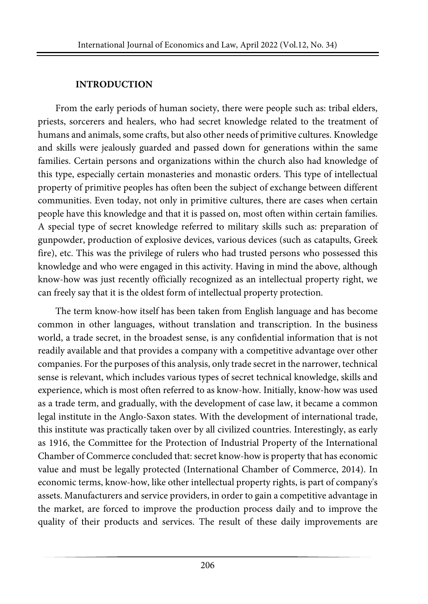# **INTRODUCTION**

From the early periods of human society, there were people such as: tribal elders, priests, sorcerers and healers, who had secret knowledge related to the treatment of humans and animals, some crafts, but also other needs of primitive cultures. Knowledge and skills were jealously guarded and passed down for generations within the same families. Certain persons and organizations within the church also had knowledge of this type, especially certain monasteries and monastic orders. This type of intellectual property of primitive peoples has often been the subject of exchange between different communities. Even today, not only in primitive cultures, there are cases when certain people have this knowledge and that it is passed on, most often within certain families. A special type of secret knowledge referred to military skills such as: preparation of gunpowder, production of explosive devices, various devices (such as catapults, Greek fire), etc. This was the privilege of rulers who had trusted persons who possessed this knowledge and who were engaged in this activity. Having in mind the above, although know-how was just recently officially recognized as an intellectual property right, we can freely say that it is the oldest form of intellectual property protection.

The term know-how itself has been taken from English language and has become common in other languages, without translation and transcription. In the business world, a trade secret, in the broadest sense, is any confidential information that is not readily available and that provides a company with a competitive advantage over other companies. For the purposes of this analysis, only trade secret in the narrower, technical sense is relevant, which includes various types of secret technical knowledge, skills and experience, which is most often referred to as know-how. Initially, know-how was used as a trade term, and gradually, with the development of case law, it became a common legal institute in the Anglo-Saxon states. With the development of international trade, this institute was practically taken over by all civilized countries. Interestingly, as early as 1916, the Committee for the Protection of Industrial Property of the International Chamber of Commerce concluded that: secret know-how is property that has economic value and must be legally protected (International Chamber of Commerce, 2014). In economic terms, know-how, like other intellectual property rights, is part of company's assets. Manufacturers and service providers, in order to gain a competitive advantage in the market, are forced to improve the production process daily and to improve the quality of their products and services. The result of these daily improvements are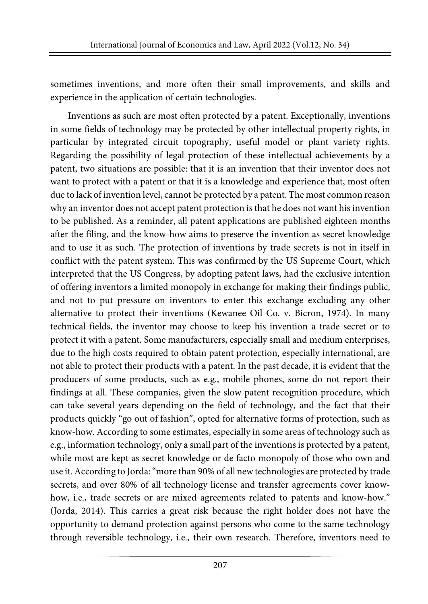sometimes inventions, and more often their small improvements, and skills and experience in the application of certain technologies.

Inventions as such are most often protected by a patent. Exceptionally, inventions in some fields of technology may be protected by other intellectual property rights, in particular by integrated circuit topography, useful model or plant variety rights. Regarding the possibility of legal protection of these intellectual achievements by a patent, two situations are possible: that it is an invention that their inventor does not want to protect with a patent or that it is a knowledge and experience that, most often due to lack of invention level, cannot be protected by a patent. The most common reason why an inventor does not accept patent protection is that he does not want his invention to be published. As a reminder, all patent applications are published eighteen months after the filing, and the know-how aims to preserve the invention as secret knowledge and to use it as such. The protection of inventions by trade secrets is not in itself in conflict with the patent system. This was confirmed by the US Supreme Court, which interpreted that the US Congress, by adopting patent laws, had the exclusive intention of offering inventors a limited monopoly in exchange for making their findings public, and not to put pressure on inventors to enter this exchange excluding any other alternative to protect their inventions (Kewanee Oil Co. v. Bicron, 1974). In many technical fields, the inventor may choose to keep his invention a trade secret or to protect it with a patent. Some manufacturers, especially small and medium enterprises, due to the high costs required to obtain patent protection, especially international, are not able to protect their products with a patent. In the past decade, it is evident that the producers of some products, such as e.g., mobile phones, some do not report their findings at all. These companies, given the slow patent recognition procedure, which can take several years depending on the field of technology, and the fact that their products quickly "go out of fashion", opted for alternative forms of protection, such as know-how. According to some estimates, especially in some areas of technology such as e.g., information technology, only a small part of the inventions is protected by a patent, while most are kept as secret knowledge or de facto monopoly of those who own and use it.According to Jorda:"more than 90% of all new technologies are protected by trade secrets, and over 80% of all technology license and transfer agreements cover knowhow, i.e., trade secrets or are mixed agreements related to patents and know-how." (Jorda, 2014). This carries a great risk because the right holder does not have the opportunity to demand protection against persons who come to the same technology through reversible technology, i.e., their own research. Therefore, inventors need to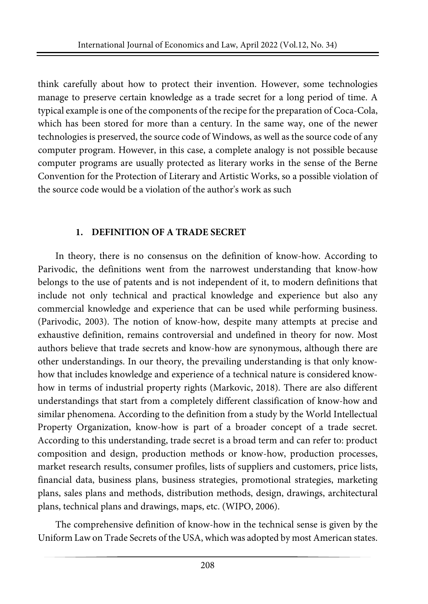think carefully about how to protect their invention. However, some technologies manage to preserve certain knowledge as a trade secret for a long period of time. A typical example is one of the components of the recipe forthe preparation of Coca-Cola, which has been stored for more than a century. In the same way, one of the newer technologies is preserved, the source code of Windows, as well as the source code of any computer program. However, in this case, a complete analogy is not possible because computer programs are usually protected as literary works in the sense of the Berne Convention for the Protection of Literary and Artistic Works, so a possible violation of the source code would be a violation of the author's work as such

# **1. DEFINITION OF A TRADE SECRET**

In theory, there is no consensus on the definition of know-how. According to Parivodic, the definitions went from the narrowest understanding that know-how belongs to the use of patents and is not independent of it, to modern definitions that include not only technical and practical knowledge and experience but also any commercial knowledge and experience that can be used while performing business. (Parivodic, 2003). The notion of know-how, despite many attempts at precise and exhaustive definition, remains controversial and undefined in theory for now. Most authors believe that trade secrets and know-how are synonymous, although there are other understandings. In our theory, the prevailing understanding is that only knowhow that includes knowledge and experience of a technical nature is considered knowhow in terms of industrial property rights (Markovic, 2018). There are also different understandings that start from a completely different classification of know-how and similar phenomena. According to the definition from a study by the World Intellectual Property Organization, know-how is part of a broader concept of a trade secret. According to this understanding, trade secret is a broad term and can refer to: product composition and design, production methods or know-how, production processes, market research results, consumer profiles, lists of suppliers and customers, price lists, financial data, business plans, business strategies, promotional strategies, marketing plans, sales plans and methods, distribution methods, design, drawings, architectural plans, technical plans and drawings, maps, etc. (WIPO, 2006).

The comprehensive definition of know-how in the technical sense is given by the Uniform Law on Trade Secrets of the USA, which was adopted by most American states.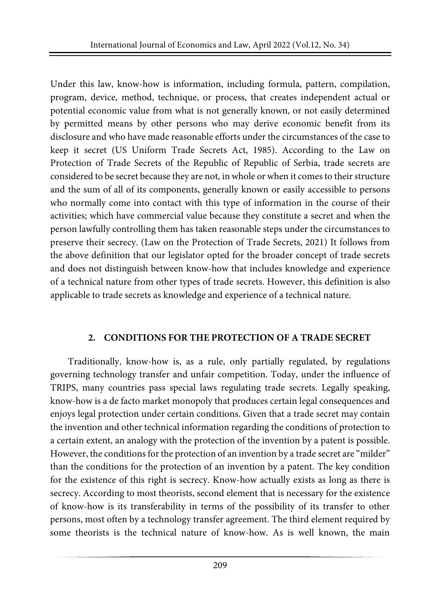Under this law, know-how is information, including formula, pattern, compilation, program, device, method, technique, or process, that creates independent actual or potential economic value from what is not generally known, or not easily determined by permitted means by other persons who may derive economic benefit from its disclosure and who have made reasonable efforts under the circumstances of the case to keep it secret (US Uniform Trade Secrets Act, 1985). According to the Law on Protection of Trade Secrets of the Republic of Republic of Serbia, trade secrets are considered to be secret because they are not, in whole or when it comes to their structure and the sum of all of its components, generally known or easily accessible to persons who normally come into contact with this type of information in the course of their activities; which have commercial value because they constitute a secret and when the person lawfully controlling them has taken reasonable steps under the circumstances to preserve their secrecy. (Law on the Protection of Trade Secrets, 2021) It follows from the above definition that our legislator opted for the broader concept of trade secrets and does not distinguish between know-how that includes knowledge and experience of a technical nature from other types of trade secrets. However, this definition is also applicable to trade secrets as knowledge and experience of a technical nature.

#### **2. CONDITIONS FOR THE PROTECTION OF A TRADE SECRET**

Traditionally, know-how is, as a rule, only partially regulated, by regulations governing technology transfer and unfair competition. Today, under the influence of TRIPS, many countries pass special laws regulating trade secrets. Legally speaking, know-how is a de facto market monopoly that produces certain legal consequences and enjoys legal protection under certain conditions. Given that a trade secret may contain the invention and other technical information regarding the conditions of protection to a certain extent, an analogy with the protection of the invention by a patent is possible. However, the conditions for the protection of an invention by a trade secret are "milder" than the conditions for the protection of an invention by a patent. The key condition for the existence of this right is secrecy. Know-how actually exists as long as there is secrecy. According to most theorists, second element that is necessary for the existence of know-how is its transferability in terms of the possibility of its transfer to other persons, most often by a technology transfer agreement. The third element required by some theorists is the technical nature of know-how. As is well known, the main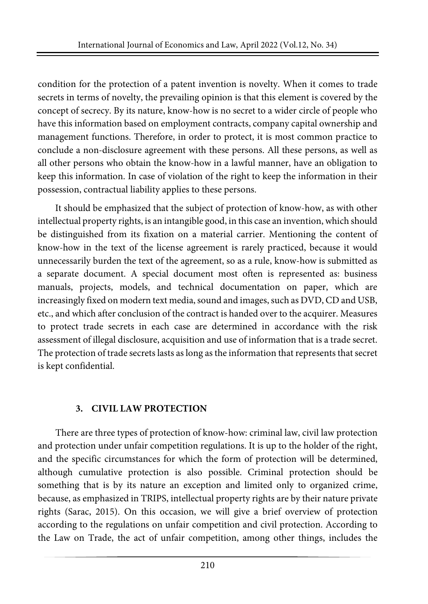condition for the protection of a patent invention is novelty. When it comes to trade secrets in terms of novelty, the prevailing opinion is that this element is covered by the concept of secrecy. By its nature, know-how is no secret to a wider circle of people who have this information based on employment contracts, company capital ownership and management functions. Therefore, in order to protect, it is most common practice to conclude a non-disclosure agreement with these persons. All these persons, as well as all other persons who obtain the know-how in a lawful manner, have an obligation to keep this information. In case of violation of the right to keep the information in their possession, contractual liability applies to these persons.

It should be emphasized that the subject of protection of know-how, as with other intellectual property rights, is an intangible good, in this case an invention, which should be distinguished from its fixation on a material carrier. Mentioning the content of know-how in the text of the license agreement is rarely practiced, because it would unnecessarily burden the text of the agreement, so as a rule, know-how is submitted as a separate document. A special document most often is represented as: business manuals, projects, models, and technical documentation on paper, which are increasingly fixed on modern text media, sound and images, such as DVD, CD and USB, etc., and which after conclusion of the contract is handed over to the acquirer. Measures to protect trade secrets in each case are determined in accordance with the risk assessment of illegal disclosure, acquisition and use of information that is a trade secret. The protection of trade secrets lasts as long as the information that represents that secret is kept confidential.

# **3. CIVIL LAW PROTECTION**

There are three types of protection of know-how: criminal law, civil law protection and protection under unfair competition regulations. It is up to the holder of the right, and the specific circumstances for which the form of protection will be determined, although cumulative protection is also possible. Criminal protection should be something that is by its nature an exception and limited only to organized crime, because, as emphasized in TRIPS, intellectual property rights are by their nature private rights (Sarac, 2015). On this occasion, we will give a brief overview of protection according to the regulations on unfair competition and civil protection. According to the Law on Trade, the act of unfair competition, among other things, includes the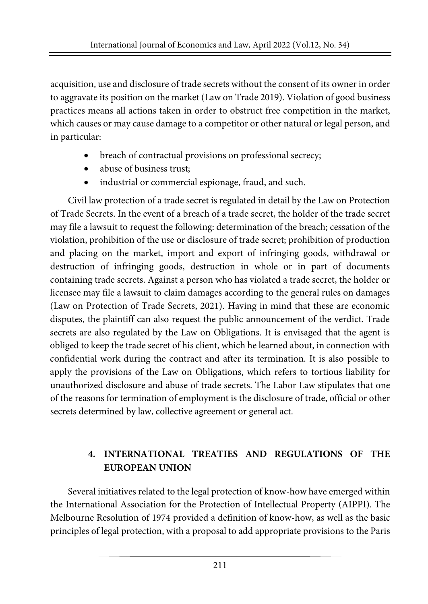acquisition, use and disclosure of trade secrets without the consent of its owner in order to aggravate its position on the market (Law on Trade 2019). Violation of good business practices means all actions taken in order to obstruct free competition in the market, which causes or may cause damage to a competitor or other natural or legal person, and in particular:

- breach of contractual provisions on professional secrecy;
- abuse of business trust;
- industrial or commercial espionage, fraud, and such.

Civil law protection of a trade secret is regulated in detail by the Law on Protection of Trade Secrets. In the event of a breach of a trade secret, the holder of the trade secret may file a lawsuit to request the following: determination of the breach; cessation of the violation, prohibition of the use or disclosure of trade secret; prohibition of production and placing on the market, import and export of infringing goods, withdrawal or destruction of infringing goods, destruction in whole or in part of documents containing trade secrets. Against a person who has violated a trade secret, the holder or licensee may file a lawsuit to claim damages according to the general rules on damages (Law on Protection of Trade Secrets, 2021). Having in mind that these are economic disputes, the plaintiff can also request the public announcement of the verdict. Trade secrets are also regulated by the Law on Obligations. It is envisaged that the agent is obliged to keep the trade secret of his client, which he learned about, in connection with confidential work during the contract and after its termination. It is also possible to apply the provisions of the Law on Obligations, which refers to tortious liability for unauthorized disclosure and abuse of trade secrets. The Labor Law stipulates that one of the reasons for termination of employment is the disclosure of trade, official or other secrets determined by law, collective agreement or general act.

# **4. INTERNATIONAL TREATIES AND REGULATIONS OF THE EUROPEAN UNION**

Several initiatives related to the legal protection of know-how have emerged within the International Association for the Protection of Intellectual Property (AIPPI). The Melbourne Resolution of 1974 provided a definition of know-how, as well as the basic principles of legal protection, with a proposal to add appropriate provisions to the Paris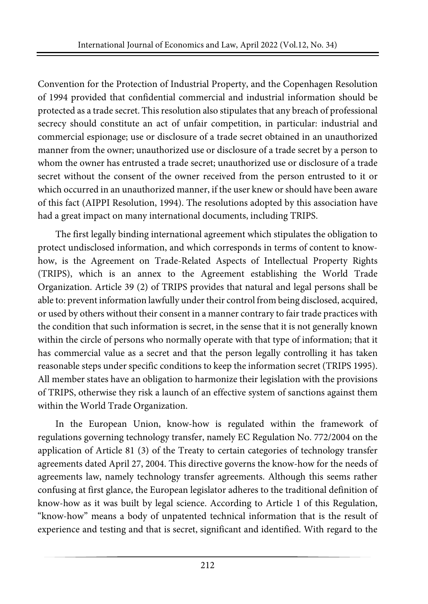Convention for the Protection of Industrial Property, and the Copenhagen Resolution of 1994 provided that confidential commercial and industrial information should be protected as a trade secret. This resolution also stipulates that any breach of professional secrecy should constitute an act of unfair competition, in particular: industrial and commercial espionage; use or disclosure of a trade secret obtained in an unauthorized manner from the owner; unauthorized use or disclosure of a trade secret by a person to whom the owner has entrusted a trade secret; unauthorized use or disclosure of a trade secret without the consent of the owner received from the person entrusted to it or which occurred in an unauthorized manner, if the user knew or should have been aware of this fact (AIPPI Resolution, 1994). The resolutions adopted by this association have had a great impact on many international documents, including TRIPS.

The first legally binding international agreement which stipulates the obligation to protect undisclosed information, and which corresponds in terms of content to knowhow, is the Agreement on Trade-Related Aspects of Intellectual Property Rights (TRIPS), which is an annex to the Agreement establishing the World Trade Organization. Article 39 (2) of TRIPS provides that natural and legal persons shall be able to: prevent information lawfully under their control from being disclosed, acquired, or used by others without their consent in a manner contrary to fair trade practices with the condition that such information is secret, in the sense that it is not generally known within the circle of persons who normally operate with that type of information; that it has commercial value as a secret and that the person legally controlling it has taken reasonable steps under specific conditions to keep the information secret (TRIPS 1995). All member states have an obligation to harmonize their legislation with the provisions of TRIPS, otherwise they risk a launch of an effective system of sanctions against them within the World Trade Organization.

In the European Union, know-how is regulated within the framework of regulations governing technology transfer, namely EC Regulation No. 772/2004 on the application of Article 81 (3) of the Treaty to certain categories of technology transfer agreements dated April 27, 2004. This directive governs the know-how for the needs of agreements law, namely technology transfer agreements. Although this seems rather confusing at first glance, the European legislator adheres to the traditional definition of know-how as it was built by legal science. According to Article 1 of this Regulation, "know-how" means a body of unpatented technical information that is the result of experience and testing and that is secret, significant and identified. With regard to the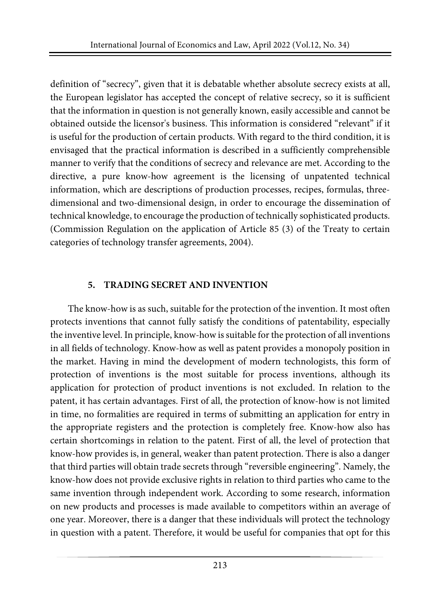definition of "secrecy", given that it is debatable whether absolute secrecy exists at all, the European legislator has accepted the concept of relative secrecy, so it is sufficient that the information in question is not generally known, easily accessible and cannot be obtained outside the licensor's business. This information is considered "relevant" if it is useful for the production of certain products. With regard to the third condition, it is envisaged that the practical information is described in a sufficiently comprehensible manner to verify that the conditions of secrecy and relevance are met. According to the directive, a pure know-how agreement is the licensing of unpatented technical information, which are descriptions of production processes, recipes, formulas, threedimensional and two-dimensional design, in order to encourage the dissemination of technical knowledge, to encourage the production of technically sophisticated products. (Commission Regulation on the application of Article 85 (3) of the Treaty to certain categories of technology transfer agreements, 2004).

# **5. TRADING SECRET AND INVENTION**

The know-how is as such, suitable for the protection of the invention. It most often protects inventions that cannot fully satisfy the conditions of patentability, especially the inventive level. In principle, know-how issuitable forthe protection of all inventions in all fields of technology. Know-how as well as patent provides a monopoly position in the market. Having in mind the development of modern technologists, this form of protection of inventions is the most suitable for process inventions, although its application for protection of product inventions is not excluded. In relation to the patent, it has certain advantages. First of all, the protection of know-how is not limited in time, no formalities are required in terms of submitting an application for entry in the appropriate registers and the protection is completely free. Know-how also has certain shortcomings in relation to the patent. First of all, the level of protection that know-how provides is, in general, weaker than patent protection. There is also a danger that third parties will obtain trade secrets through "reversible engineering". Namely, the know-how does not provide exclusive rights in relation to third parties who came to the same invention through independent work. According to some research, information on new products and processes is made available to competitors within an average of one year. Moreover, there is a danger that these individuals will protect the technology in question with a patent. Therefore, it would be useful for companies that opt for this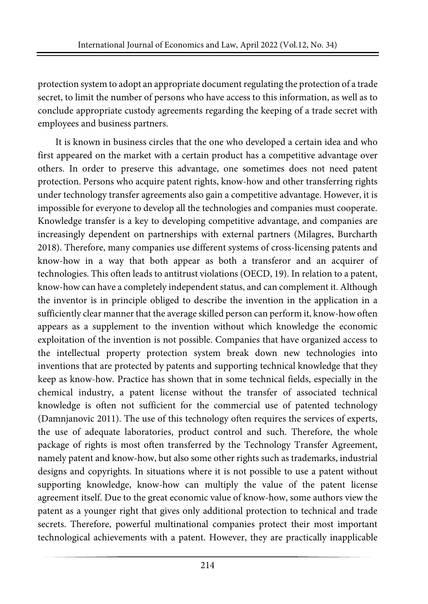protection system to adopt an appropriate documentregulating the protection of a trade secret, to limit the number of persons who have access to this information, as well as to conclude appropriate custody agreements regarding the keeping of a trade secret with employees and business partners.

It is known in business circles that the one who developed a certain idea and who first appeared on the market with a certain product has a competitive advantage over others. In order to preserve this advantage, one sometimes does not need patent protection. Persons who acquire patent rights, know-how and other transferring rights under technology transfer agreements also gain a competitive advantage. However, it is impossible for everyone to develop all the technologies and companies must cooperate. Knowledge transfer is a key to developing competitive advantage, and companies are increasingly dependent on partnerships with external partners (Milagres, Burcharth 2018). Therefore, many companies use different systems of cross-licensing patents and know-how in a way that both appear as both a transferor and an acquirer of technologies. This often leads to antitrust violations (OECD, 19). In relation to a patent, know-how can have a completely independent status, and can complement it. Although the inventor is in principle obliged to describe the invention in the application in a sufficiently clear manner that the average skilled person can perform it, know-how often appears as a supplement to the invention without which knowledge the economic exploitation of the invention is not possible. Companies that have organized access to the intellectual property protection system break down new technologies into inventions that are protected by patents and supporting technical knowledge that they keep as know-how. Practice has shown that in some technical fields, especially in the chemical industry, a patent license without the transfer of associated technical knowledge is often not sufficient for the commercial use of patented technology (Damnjanovic 2011). The use of this technology often requires the services of experts, the use of adequate laboratories, product control and such. Therefore, the whole package of rights is most often transferred by the Technology Transfer Agreement, namely patent and know-how, but also some other rights such as trademarks, industrial designs and copyrights. In situations where it is not possible to use a patent without supporting knowledge, know-how can multiply the value of the patent license agreement itself. Due to the great economic value of know-how, some authors view the patent as a younger right that gives only additional protection to technical and trade secrets. Therefore, powerful multinational companies protect their most important technological achievements with a patent. However, they are practically inapplicable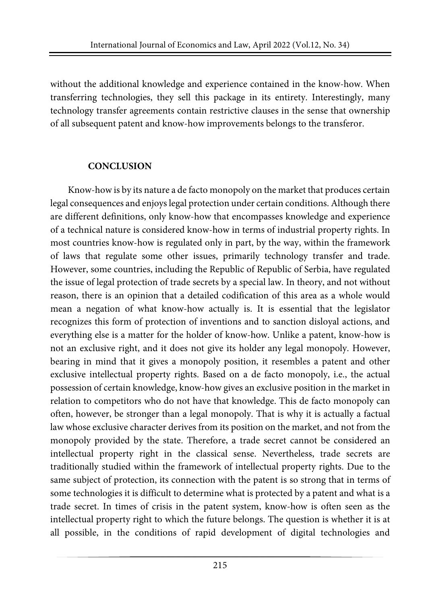without the additional knowledge and experience contained in the know-how. When transferring technologies, they sell this package in its entirety. Interestingly, many technology transfer agreements contain restrictive clauses in the sense that ownership of all subsequent patent and know-how improvements belongs to the transferor.

### **CONCLUSION**

Know-how is by its nature a de facto monopoly on the market that produces certain legal consequences and enjoys legal protection under certain conditions. Although there are different definitions, only know-how that encompasses knowledge and experience of a technical nature is considered know-how in terms of industrial property rights. In most countries know-how is regulated only in part, by the way, within the framework of laws that regulate some other issues, primarily technology transfer and trade. However, some countries, including the Republic of Republic of Serbia, have regulated the issue of legal protection of trade secrets by a special law. In theory, and not without reason, there is an opinion that a detailed codification of this area as a whole would mean a negation of what know-how actually is. It is essential that the legislator recognizes this form of protection of inventions and to sanction disloyal actions, and everything else is a matter for the holder of know-how. Unlike a patent, know-how is not an exclusive right, and it does not give its holder any legal monopoly. However, bearing in mind that it gives a monopoly position, it resembles a patent and other exclusive intellectual property rights. Based on a de facto monopoly, i.e., the actual possession of certain knowledge, know-how gives an exclusive position in the market in relation to competitors who do not have that knowledge. This de facto monopoly can often, however, be stronger than a legal monopoly. That is why it is actually a factual law whose exclusive character derives from its position on the market, and not from the monopoly provided by the state. Therefore, a trade secret cannot be considered an intellectual property right in the classical sense. Nevertheless, trade secrets are traditionally studied within the framework of intellectual property rights. Due to the same subject of protection, its connection with the patent is so strong that in terms of some technologies it is difficult to determine what is protected by a patent and what is a trade secret. In times of crisis in the patent system, know-how is often seen as the intellectual property right to which the future belongs. The question is whether it is at all possible, in the conditions of rapid development of digital technologies and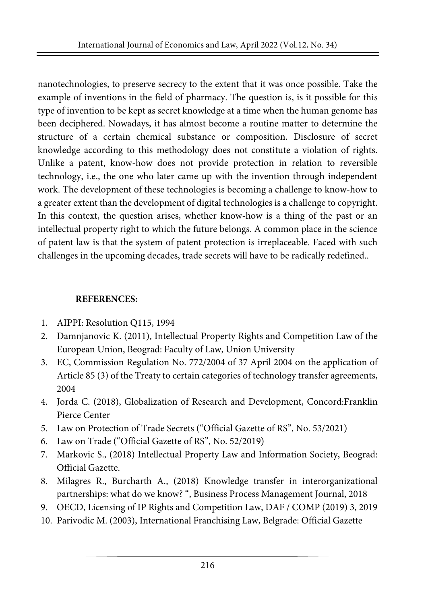nanotechnologies, to preserve secrecy to the extent that it was once possible. Take the example of inventions in the field of pharmacy. The question is, is it possible for this type of invention to be kept as secret knowledge at a time when the human genome has been deciphered. Nowadays, it has almost become a routine matter to determine the structure of a certain chemical substance or composition. Disclosure of secret knowledge according to this methodology does not constitute a violation of rights. Unlike a patent, know-how does not provide protection in relation to reversible technology, i.e., the one who later came up with the invention through independent work. The development of these technologies is becoming a challenge to know-how to a greater extent than the development of digital technologies is a challenge to copyright. In this context, the question arises, whether know-how is a thing of the past or an intellectual property right to which the future belongs. A common place in the science of patent law is that the system of patent protection is irreplaceable. Faced with such challenges in the upcoming decades, trade secrets will have to be radically redefined..

# **REFERENCES:**

- 1. AIPPI: Resolution Q115, 1994
- 2. Damnjanovic K. (2011), Intellectual Property Rights and Competition Law of the European Union, Beograd: Faculty of Law, Union University
- 3. EC, Commission Regulation No. 772/2004 of 37 April 2004 on the application of Article 85 (3) of the Treaty to certain categories of technology transfer agreements, 2004
- 4. Jorda C. (2018), Globalization of Research and Development, Concord:Franklin Pierce Center
- 5. Law on Protection of Trade Secrets ("Official Gazette of RS", No. 53/2021)
- 6. Law on Trade ("Official Gazette of RS", No. 52/2019)
- 7. Markovic S., (2018) Intellectual Property Law and Information Society, Beograd: Official Gazette.
- 8. Milagres R., Burcharth A., (2018) Knowledge transfer in interorganizational partnerships: what do we know? ", Business Process Management Journal, 2018
- 9. OECD, Licensing of IP Rights and Competition Law, DAF / COMP (2019) 3, 2019
- 10. Parivodic M. (2003), International Franchising Law, Belgrade: Official Gazette